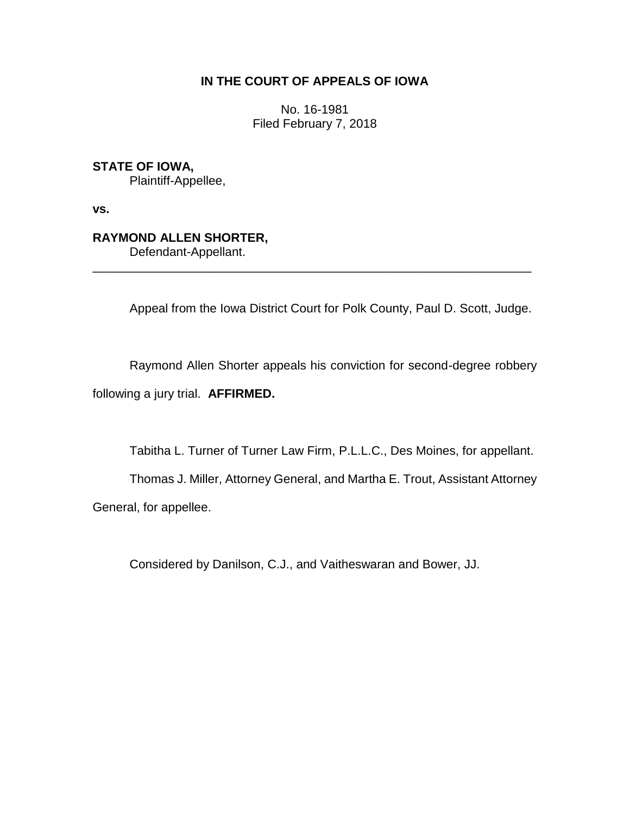## **IN THE COURT OF APPEALS OF IOWA**

No. 16-1981 Filed February 7, 2018

**STATE OF IOWA,**

Plaintiff-Appellee,

**vs.**

## **RAYMOND ALLEN SHORTER,**

Defendant-Appellant.

Appeal from the Iowa District Court for Polk County, Paul D. Scott, Judge.

Raymond Allen Shorter appeals his conviction for second-degree robbery following a jury trial. **AFFIRMED.**

\_\_\_\_\_\_\_\_\_\_\_\_\_\_\_\_\_\_\_\_\_\_\_\_\_\_\_\_\_\_\_\_\_\_\_\_\_\_\_\_\_\_\_\_\_\_\_\_\_\_\_\_\_\_\_\_\_\_\_\_\_\_\_\_

Tabitha L. Turner of Turner Law Firm, P.L.L.C., Des Moines, for appellant.

Thomas J. Miller, Attorney General, and Martha E. Trout, Assistant Attorney General, for appellee.

Considered by Danilson, C.J., and Vaitheswaran and Bower, JJ.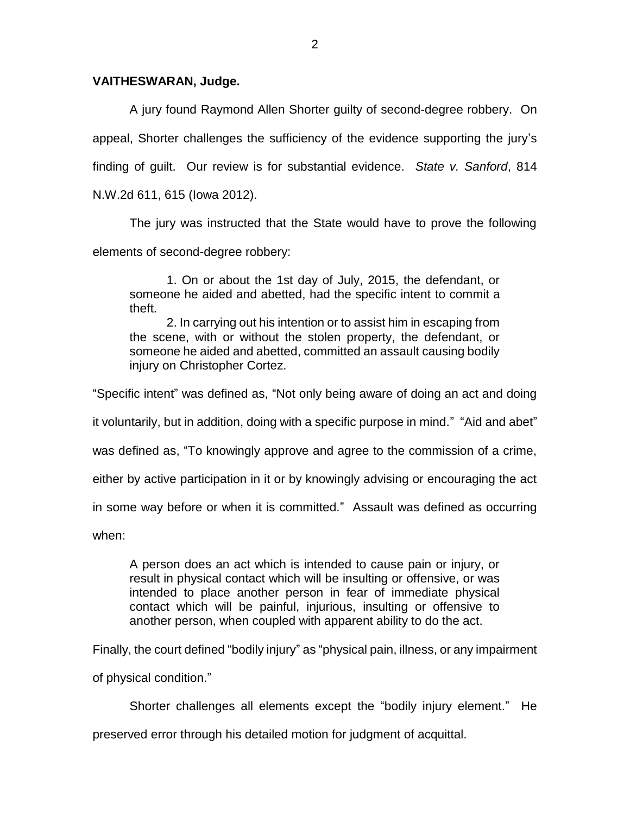## **VAITHESWARAN, Judge.**

A jury found Raymond Allen Shorter guilty of second-degree robbery. On appeal, Shorter challenges the sufficiency of the evidence supporting the jury's finding of guilt. Our review is for substantial evidence. *State v. Sanford*, 814 N.W.2d 611, 615 (Iowa 2012).

The jury was instructed that the State would have to prove the following elements of second-degree robbery:

1. On or about the 1st day of July, 2015, the defendant, or someone he aided and abetted, had the specific intent to commit a theft.

2. In carrying out his intention or to assist him in escaping from the scene, with or without the stolen property, the defendant, or someone he aided and abetted, committed an assault causing bodily injury on Christopher Cortez.

"Specific intent" was defined as, "Not only being aware of doing an act and doing

it voluntarily, but in addition, doing with a specific purpose in mind." "Aid and abet"

was defined as, "To knowingly approve and agree to the commission of a crime,

either by active participation in it or by knowingly advising or encouraging the act

in some way before or when it is committed." Assault was defined as occurring

when:

A person does an act which is intended to cause pain or injury, or result in physical contact which will be insulting or offensive, or was intended to place another person in fear of immediate physical contact which will be painful, injurious, insulting or offensive to another person, when coupled with apparent ability to do the act.

Finally, the court defined "bodily injury" as "physical pain, illness, or any impairment

of physical condition."

Shorter challenges all elements except the "bodily injury element." He

preserved error through his detailed motion for judgment of acquittal.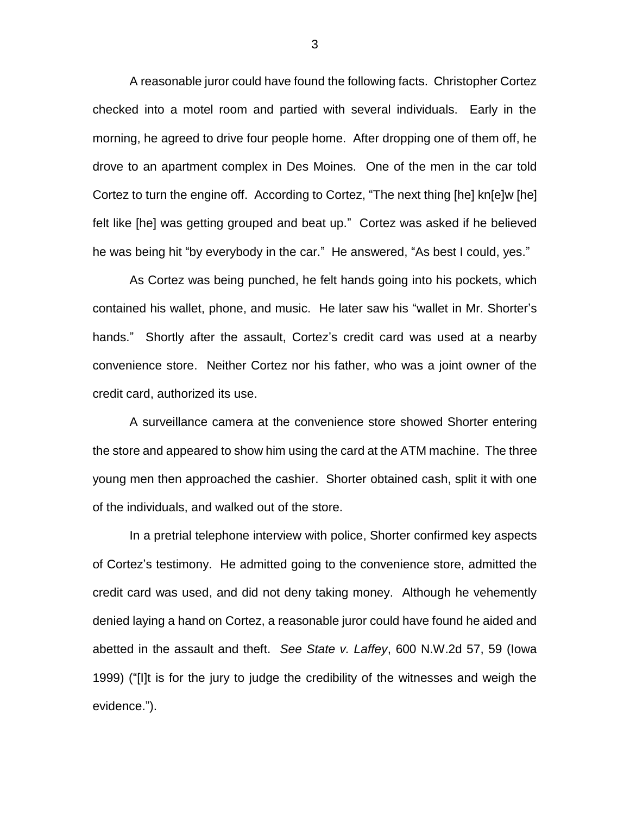A reasonable juror could have found the following facts. Christopher Cortez checked into a motel room and partied with several individuals. Early in the morning, he agreed to drive four people home. After dropping one of them off, he drove to an apartment complex in Des Moines. One of the men in the car told Cortez to turn the engine off.According to Cortez, "The next thing [he] kn[e]w [he] felt like [he] was getting grouped and beat up."Cortez was asked if he believed he was being hit "by everybody in the car."He answered, "As best I could, yes."

As Cortez was being punched, he felt hands going into his pockets, which contained his wallet, phone, and music.He later saw his "wallet in Mr. Shorter's hands." Shortly after the assault, Cortez's credit card was used at a nearby convenience store. Neither Cortez nor his father, who was a joint owner of the credit card, authorized its use.

A surveillance camera at the convenience store showed Shorter entering the store and appeared to show him using the card at the ATM machine. The three young men then approached the cashier. Shorter obtained cash, split it with one of the individuals, and walked out of the store.

In a pretrial telephone interview with police, Shorter confirmed key aspects of Cortez's testimony. He admitted going to the convenience store, admitted the credit card was used, and did not deny taking money. Although he vehemently denied laying a hand on Cortez, a reasonable juror could have found he aided and abetted in the assault and theft. *See State v. Laffey*, 600 N.W.2d 57, 59 (Iowa 1999) ("[I]t is for the jury to judge the credibility of the witnesses and weigh the evidence.").